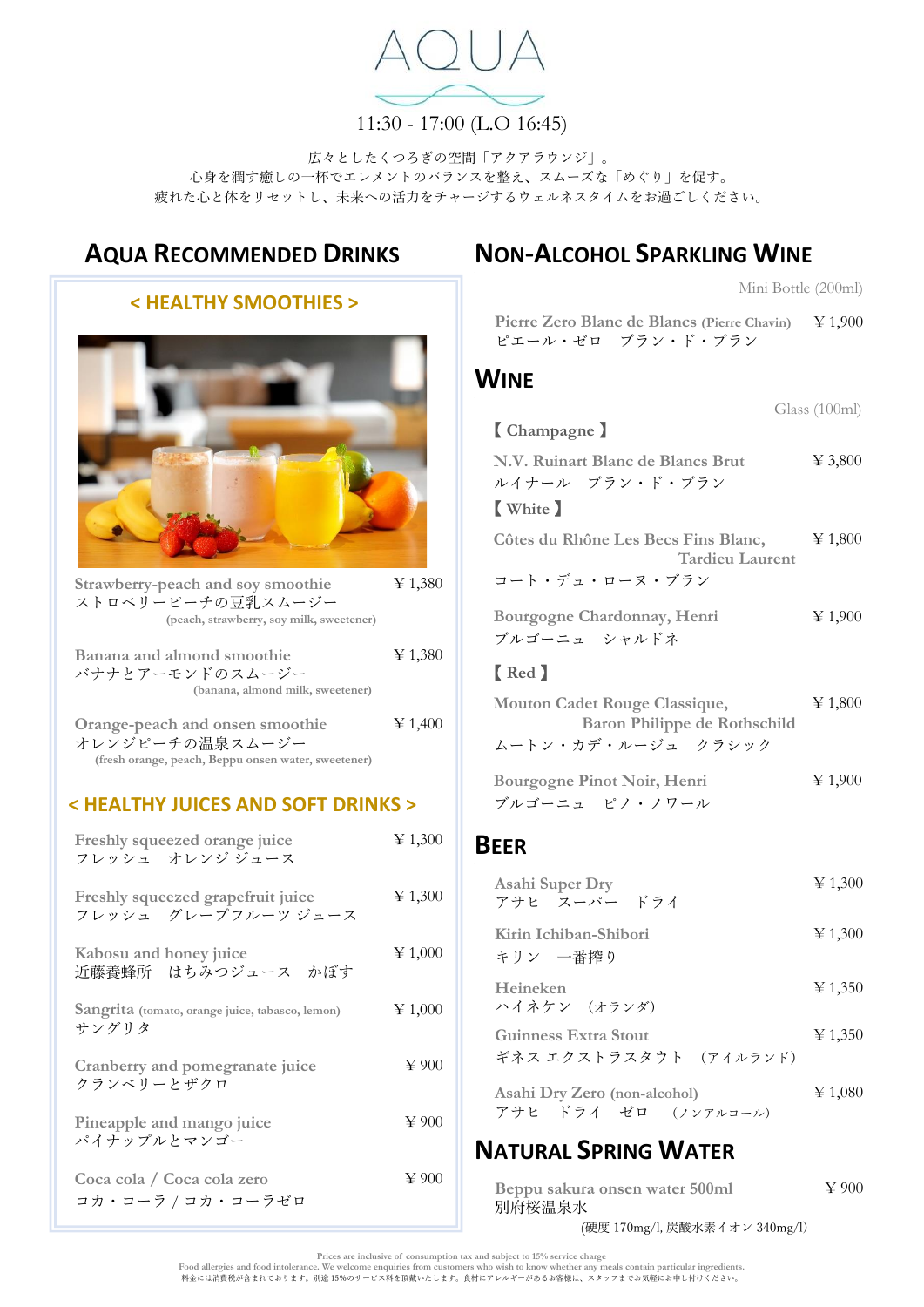

11:30 - 17:00 (L.O 16:45)

広々としたくつろぎの空間「アクアラウンジ」。 心身を潤す癒しの一杯でエレメントのバランスを整え、スムーズな「めぐり」を促す。 疲れた心と体をリセットし、未来への活力をチャージするウェルネスタイムをお過ごしください。

# **AQUA RECOMMENDED DRINKS**

# **< HEALTHY SMOOTHIES >**

| Strawberry-peach and soy smoothie<br>ストロベリーピーチの豆乳スムージー<br>(peach, strawberry, soy milk, sweetener)        | $\ge 1,380$   |
|-----------------------------------------------------------------------------------------------------------|---------------|
| Banana and almond smoothie<br>バナナとアーモンドのスムージー<br>(banana, almond milk, sweetener)                         | $\geq 1,380$  |
| Orange-peach and onsen smoothie<br>オレンジピーチの温泉スムージー<br>(fresh orange, peach, Beppu onsen water, sweetener) | $\cong 1,400$ |

#### **< HEALTHY JUICES AND SOFT DRINKS >**

| Freshly squeezed orange juice<br>フレッシュ・オレンジ ジュース         | $\cong 1,300$ |
|----------------------------------------------------------|---------------|
| Freshly squeezed grapefruit juice<br>フレッシュ グレープフルーツ ジュース | $\cong 1,300$ |
| Kabosu and honey juice<br>近藤養蜂所 はちみつジュース かぼす             | $\cong 1,000$ |
| Sangrita (tomato, orange juice, tabasco, lemon)<br>サングリタ | $\geq 1,000$  |
| Cranberry and pomegranate juice<br>クランベリーとザクロ            | $\cong 900$   |
| Pineapple and mango juice<br>パイナップルとマンゴー                 | $\cong 900$   |
| Coca cola / Coca cola zero<br>コカ・コーラ / コカ・コーラゼロ          | $\cong 900$   |

# **NON-ALCOHOL SPARKLING WINE**

Mini Bottle (200ml)

**Pierre Zero Blanc de Blancs (Pierre Chavin)** ¥ 1,900 ピエール・ゼロ ブラン・ド・ブラン

### **WINE**

|                                     | Glass $(100ml)$ |
|-------------------------------------|-----------------|
| [Champagne ]                        |                 |
| N.V. Ruinart Blanc de Blancs Brut   | $\cong 3,800$   |
| ルイナール ブラン・ド・ブラン                     |                 |
| [ White ]                           |                 |
| Côtes du Rhône Les Becs Fins Blanc, | $\geq 1,800$    |
| <b>Tardieu Laurent</b>              |                 |
| コート・デュ・ローヌ・ブラン                      |                 |
| Bourgogne Chardonnay, Henri         | $\cong 1,900$   |
| ブルゴーニュ シャルドネ                        |                 |
| [Red]                               |                 |
| Mouton Cadet Rouge Classique,       | $\geq 1,800$    |
| Baron Philippe de Rothschild        |                 |
| ムートン・カデ・ルージュ クラシック                  |                 |
| <b>Bourgogne Pinot Noir, Henri</b>  | $\cong 1,900$   |
| ブルゴーニュ ピノ・ノワール                      |                 |
|                                     |                 |
| <b>EER</b>                          |                 |

# B<sub>F</sub>

| <b>Asahi Super Dry</b><br>アサヒ スーパー ドライ                | $\cong 1,300$ |
|-------------------------------------------------------|---------------|
| Kirin Ichiban-Shibori<br>キリン 一番搾り                     | $\geq 1,300$  |
| Heineken<br>ハイネケン (オランダ)                              | $\geq 1,350$  |
| <b>Guinness Extra Stout</b><br>ギネス エクストラスタウト (アイルランド) | $\geq 1,350$  |
| Asahi Dry Zero (non-alcohol)<br>アサヒ ドライ ゼロ (ノンアルコール)  | $\geq 1,080$  |

# **NATURAL SPRING WATER**

| Beppu sakura onsen water 500ml | $\cong 900$ |
|--------------------------------|-------------|
| 別府桜温泉水                         |             |

(硬度 170mg/l, 炭酸水素イオン 340mg/l)

Prices are inclusive of consumption tax and subject to 15% service charge<br>Food allergies and food intolerance. We welcome enquiries from customers who wish to know whether any meals contain particular ingredients.<br>科金には消費